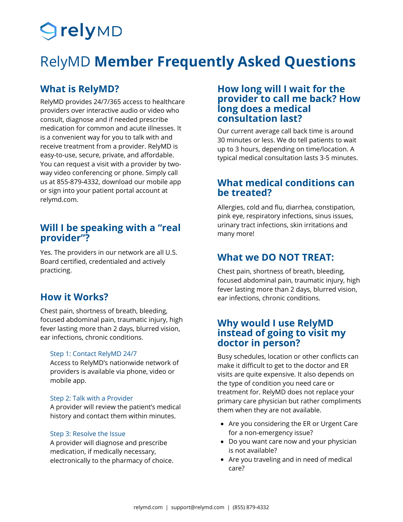# **SrelyMD**

# RelyMD **Member Frequently Asked Questions**

### **What is RelyMD?**

RelyMD provides 24/7/365 access to healthcare providers over interactive audio or video who consult, diagnose and if needed prescribe medication for common and acute illnesses. It is a convenient way for you to talk with and receive treatment from a provider. RelyMD is easy-to-use, secure, private, and affordable. You can request a visit with a provider by twoway video conferencing or phone. Simply call us at 855-879-4332, download our mobile app or sign into your patient portal account at relymd.com.

### **Will I be speaking with a "real provider"?**

Yes. The providers in our network are all U.S. Board certified, credentialed and actively practicing.

Chest pain, shortness of breath, bleeding, focused abdominal pain, traumatic injury, high fever lasting more than 2 days, blurred vision, ear infections, chronic conditions.

### Step 1: Contact RelyMD 24/7

Access to RelyMD's nationwide network of providers is available via phone, video or mobile app.

### Step 2: Talk with a Provider

A provider will review the patient's medical history and contact them within minutes.

### Step 3: Resolve the Issue

A provider will diagnose and prescribe medication, if medically necessary, electronically to the pharmacy of choice.

### **How long will I wait for the provider to call me back? How long does a medical consultation last?**

Our current average call back time is around 30 minutes or less. We do tell patients to wait up to 3 hours, depending on time/location. A typical medical consultation lasts 3-5 minutes.

### **What medical conditions can be treated?**

Allergies, cold and flu, diarrhea, constipation, pink eye, respiratory infections, sinus issues, urinary tract infections, skin irritations and many more!

### **What we DO NOT TREAT:**

Chest pain, shortness of breath, bleeding, focused abdominal pain, traumatic injury, high fever lasting more than 2 days, blurred vision, **How it Works?** ear infections, chronic conditions.

### **Why would I use RelyMD instead of going to visit my doctor in person?**

Busy schedules, location or other conflicts can make it difficult to get to the doctor and ER visits are quite expensive. It also depends on the type of condition you need care or treatment for. RelyMD does not replace your primary care physician but rather compliments them when they are not available.

- Are you considering the ER or Urgent Care for a non-emergency issue?
- Do you want care now and your physician is not available?
- Are you traveling and in need of medical care?